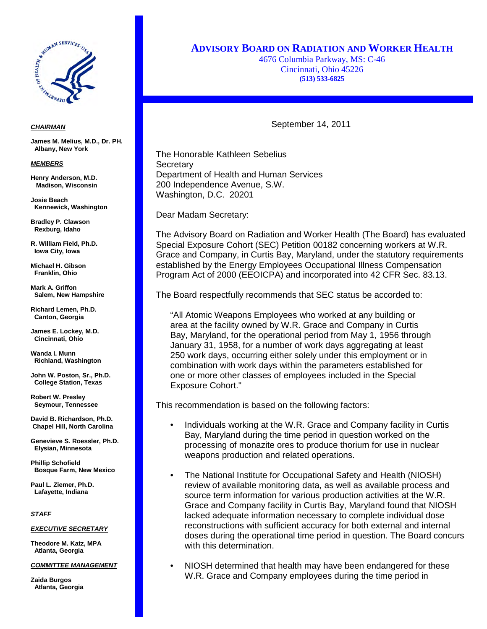

## *CHAIRMAN*

**James M. Melius, M.D., Dr. PH. Albany, New York**

### *MEMBERS*

**Henry Anderson, M.D. Madison, Wisconsin**

**Josie Beach Kennewick, Washington** 

**Bradley P. Clawson Rexburg, Idaho**

**R. William Field, Ph.D. Iowa City, Iowa**

**Michael H. Gibson Franklin, Ohio**

**Mark A. Griffon Salem, New Hampshire**

**Richard Lemen, Ph.D. Canton, Georgia**

**James E. Lockey, M.D. Cincinnati, Ohio**

**Wanda I. Munn Richland, Washington**

**John W. Poston, Sr., Ph.D. College Station, Texas**

**Robert W. Presley Seymour, Tennessee**

**David B. Richardson, Ph.D. Chapel Hill, North Carolina**

**Genevieve S. Roessler, Ph.D. Elysian, Minnesota**

**Phillip Schofield Bosque Farm, New Mexico**

**Paul L. Ziemer, Ph.D. Lafayette, Indiana**

*STAFF*

## *EXECUTIVE SECRETARY*

**Theodore M. Katz, MPA Atlanta, Georgia**

### *COMMITTEE MANAGEMENT*

**Zaida Burgos Atlanta, Georgia**

# **ADVISORY BOARD ON RADIATION AND WORKER HEALTH**

4676 Columbia Parkway, MS: C-46 Cincinnati, Ohio 45226 **(513) 533-6825**

September 14, 2011

 Secretary The Honorable Kathleen Sebelius Department of Health and Human Services 200 Independence Avenue, S.W. Washington, D.C. 20201

Dear Madam Secretary:

The Advisory Board on Radiation and Worker Health (The Board) has evaluated Special Exposure Cohort (SEC) Petition 00182 concerning workers at W.R. Grace and Company, in Curtis Bay, Maryland, under the statutory requirements established by the Energy Employees Occupational Illness Compensation Program Act of 2000 (EEOICPA) and incorporated into 42 CFR Sec. 83.13.

The Board respectfully recommends that SEC status be accorded to:

"All Atomic Weapons Employees who worked at any building or area at the facility owned by W.R. Grace and Company in Curtis Bay, Maryland, for the operational period from May 1, 1956 through January 31, 1958, for a number of work days aggregating at least 250 work days, occurring either solely under this employment or in combination with work days within the parameters established for one or more other classes of employees included in the Special Exposure Cohort."

This recommendation is based on the following factors:

- Individuals working at the W.R. Grace and Company facility in Curtis Bay, Maryland during the time period in question worked on the processing of monazite ores to produce thorium for use in nuclear weapons production and related operations.
- The National Institute for Occupational Safety and Health (NIOSH) review of available monitoring data, as well as available process and source term information for various production activities at the W.R. Grace and Company facility in Curtis Bay, Maryland found that NIOSH lacked adequate information necessary to complete individual dose reconstructions with sufficient accuracy for both external and internal doses during the operational time period in question. The Board concurs with this determination.
- NIOSH determined that health may have been endangered for these W.R. Grace and Company employees during the time period in